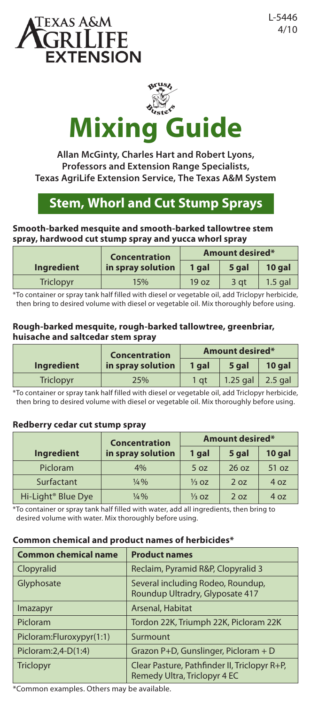



**Allan McGinty, Charles Hart and Robert Lyons, Professors and Extension Range Specialists, Texas AgriLife Extension Service, The Texas A&M System**

# **Stem, Whorl and Cut Stump Sprays**

#### **Smooth-barked mesquite and smooth-barked tallowtree stem spray, hardwood cut stump spray and yucca whorl spray**

|            | <b>Concentration</b> | <b>Amount desired*</b> |       |           |
|------------|----------------------|------------------------|-------|-----------|
| Ingredient | in spray solution    | 1 gal                  | 5 gal | 10 gal    |
| Triclopyr  | 15%                  | 19 <sub>oz</sub>       | 3 at  | $1.5$ gal |

\*To container or spray tank half filled with diesel or vegetable oil, add Triclopyr herbicide, then bring to desired volume with diesel or vegetable oil. Mix thoroughly before using.

#### **Rough-barked mesquite, rough-barked tallowtree, greenbriar, huisache and saltcedar stem spray**

|            | Concentration     | <b>Amount desired*</b> |            |           |
|------------|-------------------|------------------------|------------|-----------|
| Ingredient | in spray solution | 1 gal                  | 5 gal      | 10 gal    |
| Triclopyr  | 25%               | 1 at                   | $1.25$ gal | $2.5$ gal |

\*To container or spray tank half filled with diesel or vegetable oil, add Triclopyr herbicide, then bring to desired volume with diesel or vegetable oil. Mix thoroughly before using.

## **Redberry cedar cut stump spray**

|                                | <b>Concentration</b><br>in spray solution | <b>Amount desired*</b> |       |        |
|--------------------------------|-------------------------------------------|------------------------|-------|--------|
| <b>Ingredient</b>              |                                           | 1 gal                  | 5 gal | 10 gal |
| Picloram                       | 4%                                        | 5 oz                   | 26 oz | 51 oz  |
| Surfactant                     | $\frac{1}{4}$ %                           | $\frac{1}{3}$ OZ       | 2 oz  | 4 oz   |
| Hi-Light <sup>®</sup> Blue Dye | $\frac{1}{4}\%$                           | $\frac{1}{3}$ OZ       | 2 oz  | 4 oz   |

\*To container or spray tank half filled with water, add all ingredients, then bring to desired volume with water. Mix thoroughly before using.

## **Common chemical and product names of herbicides\***

| <b>Common chemical name</b> | <b>Product names</b>                                                         |
|-----------------------------|------------------------------------------------------------------------------|
| Clopyralid                  | Reclaim, Pyramid R&P, Clopyralid 3                                           |
| Glyphosate                  | Several including Rodeo, Roundup,<br>Roundup Ultradry, Glyposate 417         |
| <i>Imazapyr</i>             | Arsenal, Habitat                                                             |
| Picloram                    | Tordon 22K, Triumph 22K, Picloram 22K                                        |
| Picloram:Fluroxypyr(1:1)    | Surmount                                                                     |
| Picloram: 2, 4-D(1: 4)      | Grazon P+D, Gunslinger, Picloram + D                                         |
| <b>Triclopyr</b>            | Clear Pasture, Pathfinder II, Triclopyr R+P,<br>Remedy Ultra, Triclopyr 4 EC |

\*Common examples. Others may be available.